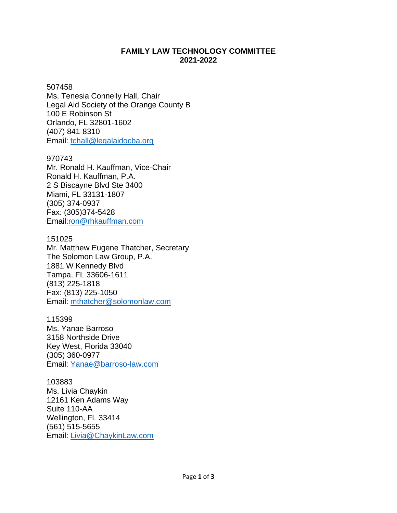# **FAMILY LAW TECHNOLOGY COMMITTEE 2021-2022**

## 507458

Ms. Tenesia Connelly Hall, Chair Legal Aid Society of the Orange County B 100 E Robinson St Orlando, FL 32801-1602 (407) 841-8310 Email: [tchall@legalaidocba.org](mailto:tchall@legalaidocba.org)

### 970743

Mr. Ronald H. Kauffman, Vice-Chair Ronald H. Kauffman, P.A. 2 S Biscayne Blvd Ste 3400 Miami, FL 33131-1807 (305) [374-0937](tel:305-374-0937) Fax: (305)374-5428 Email[:ron@rhkauffman.com](mailto:ron@rhkauffman.com)

## 151025

Mr. Matthew Eugene Thatcher, Secretary The Solomon Law Group, P.A. 1881 W Kennedy Blvd Tampa, FL 33606-1611 (813) 225-1818 Fax: (813) 225-1050 Email: [mthatcher@solomonlaw.com](mailto:mthatcher@solomonlaw.com)

115399 Ms. Yanae Barroso 3158 Northside Drive Key West, Florida 33040 (305) 360-0977 Email: [Yanae@barroso-law.com](mailto:Yanae@barroso-law.com)

103883 Ms. Livia Chaykin 12161 Ken Adams Way Suite 110-AA Wellington, FL 33414 (561) 515-5655 Email: [Livia@ChaykinLaw.com](mailto:Livia@ChaykinLaw.com)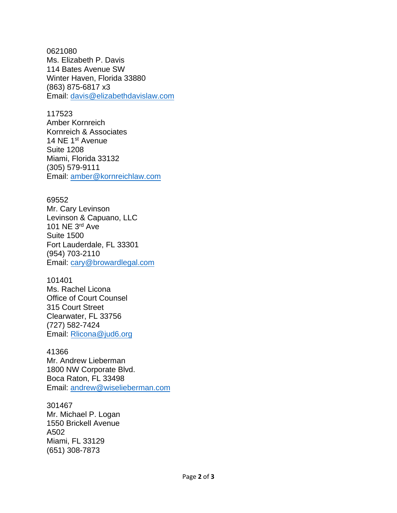0621080 Ms. Elizabeth P. Davis 114 Bates Avenue SW Winter Haven, Florida 33880 (863) 875-6817 x3 Email: [davis@elizabethdavislaw.com](mailto:davis@elizabethdavislaw.com)

#### 117523

Amber Kornreich Kornreich & Associates 14 NE 1<sup>st</sup> Avenue Suite 1208 Miami, Florida 33132 (305) 579-9111 Email: [amber@kornreichlaw.com](mailto:amber@kornreichlaw.com)

#### 69552

Mr. Cary Levinson Levinson & Capuano, LLC 101 NE 3 rd Ave Suite 1500 Fort Lauderdale, FL 33301 (954) 703-2110 Email: [cary@browardlegal.com](mailto:cary@browardlegal.com)

#### 101401

Ms. Rachel Licona Office of Court Counsel 315 Court Street Clearwater, FL 33756 (727) 582-7424 Email: [Rlicona@jud6.org](mailto:Rlicona@jud6.org)

#### 41366

Mr. Andrew Lieberman 1800 NW Corporate Blvd. Boca Raton, FL 33498 Email: andrew@wiselieberman.com

#### 301467

Mr. Michael P. Logan 1550 Brickell Avenue A502 Miami, FL 33129 (651) 308-7873